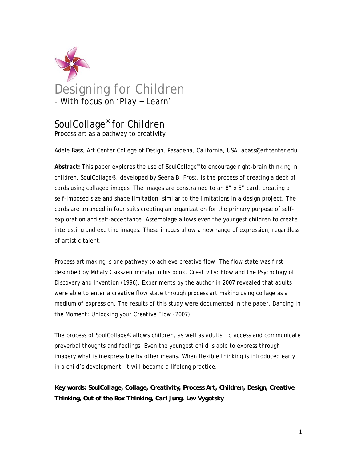

# SoulCollage® for Children

Process art as a pathway to creativity

Adele Bass, Art Center College of Design, Pasadena, California, USA, abass@artcenter.edu

**Abstract:** This paper explores the use of SoulCollage® to encourage right-brain thinking in children. SoulCollage®, developed by Seena B. Frost, is the process of creating a deck of cards using collaged images. The images are constrained to an 8" x 5" card, creating a self-imposed size and shape limitation, similar to the limitations in a design project. The cards are arranged in four suits creating an organization for the primary purpose of selfexploration and self-acceptance. Assemblage allows even the youngest children to create interesting and exciting images. These images allow a new range of expression, regardless of artistic talent.

Process art making is one pathway to achieve creative flow. The flow state was first described by Mihaly Csikszentmihalyi in his book, *Creativity: Flow and the Psychology of Discovery and Invention* (1996). Experiments by the author in 2007 revealed that adults were able to enter a creative flow state through process art making using collage as a medium of expression. The results of this study were documented in the paper, *Dancing in the Moment: Unlocking your Creative Flow* (2007).

The process of SoulCollage® allows children, as well as adults, to access and communicate preverbal thoughts and feelings. Even the youngest child is able to express through imagery what is inexpressible by other means. When flexible thinking is introduced early in a child's development, it will become a lifelong practice.

*Key words: SoulCollage, Collage, Creativity, Process Art, Children, Design, Creative Thinking, Out of the Box Thinking, Carl Jung, Lev Vygotsky*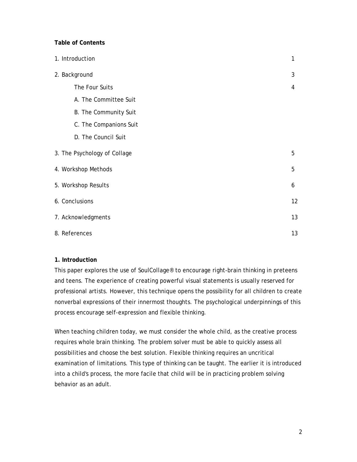# **Table of Contents**

| 1. Introduction     |                              | 1  |
|---------------------|------------------------------|----|
| 2. Background       |                              | 3  |
|                     | The Four Suits               | 4  |
|                     | A. The Committee Suit        |    |
|                     | B. The Community Suit        |    |
|                     | C. The Companions Suit       |    |
|                     | D. The Council Suit          |    |
|                     | 3. The Psychology of Collage | 5  |
| 4. Workshop Methods |                              |    |
| 5. Workshop Results |                              |    |
| 6. Conclusions      |                              | 12 |
| 7. Acknowledgments  |                              | 13 |
| 8. References       |                              |    |

## **1. Introduction**

This paper explores the use of SoulCollage® to encourage right-brain thinking in preteens and teens. The experience of creating powerful visual statements is usually reserved for professional artists. However, this technique opens the possibility for all children to create nonverbal expressions of their innermost thoughts. The psychological underpinnings of this process encourage self-expression and flexible thinking.

When teaching children today, we must consider the whole child, as the creative process requires whole brain thinking. The problem solver must be able to quickly assess all possibilities and choose the best solution. Flexible thinking requires an uncritical examination of limitations. This type of thinking can be taught. The earlier it is introduced into a child's process, the more facile that child will be in practicing problem solving behavior as an adult.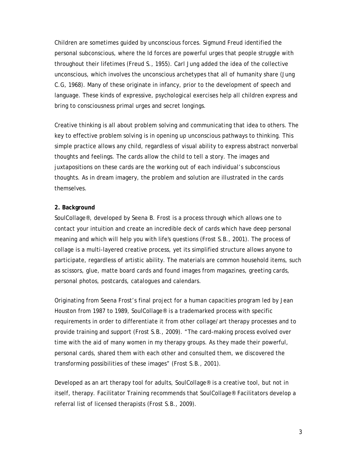Children are sometimes guided by unconscious forces. Sigmund Freud identified the personal subconscious, where the Id forces are powerful urges that people struggle with throughout their lifetimes (Freud S., 1955). Carl Jung added the idea of the collective unconscious, which involves the unconscious archetypes that all of humanity share (Jung C.G, 1968). Many of these originate in infancy, prior to the development of speech and language. These kinds of expressive, psychological exercises help all children express and bring to consciousness primal urges and secret longings.

Creative thinking is all about problem solving and communicating that idea to others. The key to effective problem solving is in opening up unconscious pathways to thinking. This simple practice allows any child, regardless of visual ability to express abstract nonverbal thoughts and feelings. The cards allow the child to tell a story. The images and juxtapositions on these cards are the working out of each individual's subconscious thoughts. As in dream imagery, the problem and solution are illustrated in the cards themselves.

## **2. Background**

SoulCollage®, developed by Seena B. Frost is a process through which allows one to contact your intuition and create an incredible deck of cards which have deep personal meaning and which will help you with life's questions (Frost S.B., 2001). The process of collage is a multi-layered creative process, yet its simplified structure allows anyone to participate, regardless of artistic ability. The materials are common household items, such as scissors, glue, matte board cards and found images from magazines, greeting cards, personal photos, postcards, catalogues and calendars.

Originating from Seena Frost's final project for a human capacities program led by Jean Houston from 1987 to 1989, SoulCollage® is a trademarked process with specific requirements in order to differentiate it from other collage/art therapy processes and to provide training and support (Frost S.B., 2009). "The card-making process evolved over time with the aid of many women in my therapy groups. As they made their powerful, personal cards, shared them with each other and consulted them, we discovered the transforming possibilities of these images" (Frost S.B., 2001).

Developed as an art therapy tool for adults, SoulCollage® is a creative tool, but not in itself, therapy. Facilitator Training recommends that SoulCollage® Facilitators develop a referral list of licensed therapists (Frost S.B., 2009).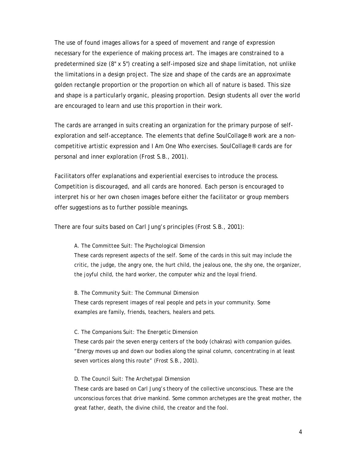The use of found images allows for a speed of movement and range of expression necessary for the experience of making process art. The images are constrained to a predetermined size (8" x 5") creating a self-imposed size and shape limitation, not unlike the limitations in a design project. The size and shape of the cards are an approximate golden rectangle proportion or the proportion on which all of nature is based. This size and shape is a particularly organic, pleasing proportion. Design students all over the world are encouraged to learn and use this proportion in their work.

The cards are arranged in suits creating an organization for the primary purpose of selfexploration and self-acceptance. The elements that define SoulCollage® work are a noncompetitive artistic expression and *I Am One Who* exercises. SoulCollage® cards are for personal and inner exploration (Frost S.B., 2001).

Facilitators offer explanations and experiential exercises to introduce the process. Competition is discouraged, and all cards are honored. Each person is encouraged to interpret his or her own chosen images before either the facilitator or group members offer suggestions as to further possible meanings.

There are four suits based on Carl Jung's principles (Frost S.B., 2001):

### *A. The Committee Suit: The Psychological Dimension*

These cards represent aspects of the self. Some of the cards in this suit may include the critic, the judge, the angry one, the hurt child, the jealous one, the shy one, the organizer, the joyful child, the hard worker, the computer whiz and the loyal friend.

#### *B. The Community Suit: The Communal Dimension*

These cards represent images of real people and pets in your community. Some examples are family, friends, teachers, healers and pets.

#### *C. The Companions Suit: The Energetic Dimension*

These cards pair the seven energy centers of the body (chakras) with companion guides. "Energy moves up and down our bodies along the spinal column, concentrating in at least seven vortices along this route" (Frost S.B., 2001).

#### *D. The Council Suit: The Archetypal Dimension*

These cards are based on Carl Jung's theory of the collective unconscious. These are the unconscious forces that drive mankind. Some common archetypes are the great mother, the great father, death, the divine child, the creator and the fool.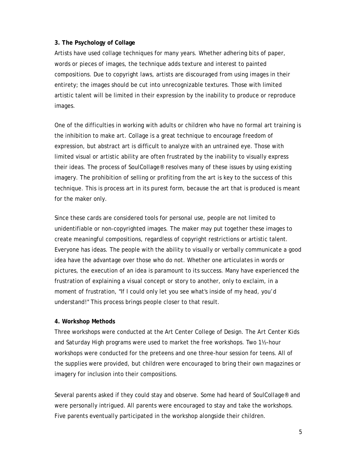# **3. The Psychology of Collage**

Artists have used collage techniques for many years. Whether adhering bits of paper, words or pieces of images, the technique adds texture and interest to painted compositions. Due to copyright laws, artists are discouraged from using images in their entirety; the images should be cut into unrecognizable textures. Those with limited artistic talent will be limited in their expression by the inability to produce or reproduce images.

One of the difficulties in working with adults or children who have no formal art training is the inhibition to make art. Collage is a great technique to encourage freedom of expression, but abstract art is difficult to analyze with an untrained eye. Those with limited visual or artistic ability are often frustrated by the inability to visually express their ideas. The process of SoulCollage® resolves many of these issues by using existing imagery. The prohibition of selling or profiting from the art is key to the success of this technique. This is process art in its purest form, because the art that is produced is meant for the maker only.

Since these cards are considered tools for personal use, people are not limited to unidentifiable or non-copyrighted images. The maker may put together these images to create meaningful compositions, regardless of copyright restrictions or artistic talent. Everyone has ideas. The people with the ability to visually or verbally communicate a good idea have the advantage over those who do not. Whether one articulates in words or pictures, the execution of an idea is paramount to its success. Many have experienced the frustration of explaining a visual concept or story to another, only to exclaim, in a moment of frustration, "If I could only let you see what's inside of my head, you'd understand!" This process brings people closer to that result.

## **4. Workshop Methods**

Three workshops were conducted at the Art Center College of Design. The *Art Center Kids* and *Saturday High* programs were used to market the free workshops. Two 1½-hour workshops were conducted for the preteens and one three-hour session for teens. All of the supplies were provided, but children were encouraged to bring their own magazines or imagery for inclusion into their compositions.

Several parents asked if they could stay and observe. Some had heard of SoulCollage® and were personally intrigued. All parents were encouraged to stay and take the workshops. Five parents eventually participated in the workshop alongside their children.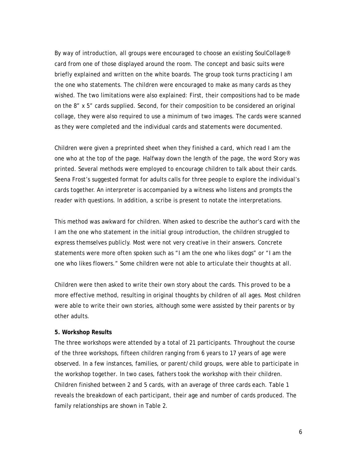By way of introduction, all groups were encouraged to choose an existing SoulCollage® card from one of those displayed around the room. The concept and basic suits were briefly explained and written on the white boards. The group took turns practicing *I am the one who* statements. The children were encouraged to make as many cards as they wished. The two limitations were also explained: First, their compositions had to be made on the 8" x 5" cards supplied. Second, for their composition to be considered an original collage, they were also required to use a minimum of two images. The cards were scanned as they were completed and the individual cards and statements were documented.

Children were given a preprinted sheet when they finished a card, which read *I am the one who* at the top of the page. Halfway down the length of the page, the word *Story* was printed. Several methods were employed to encourage children to talk about their cards. Seena Frost's suggested format for adults calls for three people to explore the individual's cards together. An interpreter is accompanied by a witness who listens and prompts the reader with questions. In addition, a scribe is present to notate the interpretations.

This method was awkward for children. When asked to describe the author's card with the *I am the one who* statement in the initial group introduction, the children struggled to express themselves publicly. Most were not very creative in their answers. Concrete statements were more often spoken such as "I am the one who likes dogs" or "I am the one who likes flowers." Some children were not able to articulate their thoughts at all.

Children were then asked to write their own story about the cards. This proved to be a more effective method, resulting in original thoughts by children of all ages. Most children were able to write their own stories, although some were assisted by their parents or by other adults.

#### **5. Workshop Results**

The three workshops were attended by a total of 21 participants. Throughout the course of the three workshops, fifteen children ranging from 6 years to 17 years of age were observed. In a few instances, families, or parent/child groups, were able to participate in the workshop together. In two cases, fathers took the workshop with their children. Children finished between 2 and 5 cards, with an average of three cards each. Table 1 reveals the breakdown of each participant, their age and number of cards produced. The family relationships are shown in Table 2.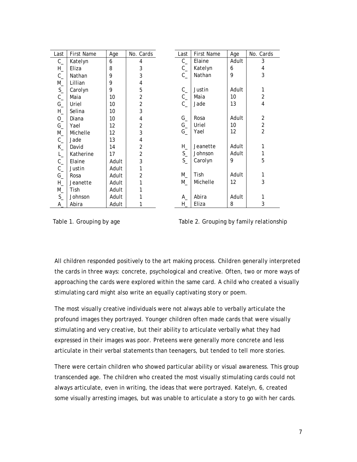| Last               | <b>First Name</b> | Age   | No. Cards      |
|--------------------|-------------------|-------|----------------|
| $C_{-}$            | Katelyn           | 6     | 4              |
| $H_{\perp}$        | Eliza             | 8     | 3              |
| $C_{-}$            | Nathan            | 9     | 3              |
| $M_{-}$            | Lillian           | 9     | 4              |
| $S_{-}$            | Carolyn           | 9     | 5              |
| $C_{-}$            | Maia              | 10    | 2              |
| $G_{-}$            | Uriel             | 10    | $\overline{c}$ |
| $H_{-}$            | Selina            | 10    | 3              |
| $0_{-}$            | Diana             | 10    | 4              |
| $G_{-}$            | Yael              | 12    | $\overline{2}$ |
| $M_{-}$            | Michelle          | 12    | 3              |
| $C_{-}$            | Jade              | 13    | 4              |
| $K_{-}$            | David             | 14    | 2              |
| $\mathsf{L}_\perp$ | Katherine         | 17    | $\overline{2}$ |
| $C_{-}$            | Elaine            | Adult | 3              |
| $C_{-}$            | Justin            | Adult | 1              |
| $G_{-}$            | Rosa              | Adult | 2              |
| $H_{\perp}$        | Jeanette          | Adult | 1              |
| $M_{-}$            | Tish              | Adult | 1              |
| $S_{-}$            | Johnson           | Adult | 1              |
| A.                 | Abira             | Adult | 1              |

| Last        | <b>First Name</b> | Age   | No. Cards     |
|-------------|-------------------|-------|---------------|
| $C_{-}$     | Elaine            | Adult | 3             |
| $C_{-}$     | Katelyn           | 6     | 4             |
| $C_{-}$     | Nathan            | 9     | 3             |
|             |                   |       |               |
| $C_{-}$     | Justin            | Adult | 1             |
| $C_{-}$     | Maia              | 10    | $\sqrt{2}$    |
| $C_{-}$     | Jade              | 13    | 4             |
|             |                   |       |               |
| $G_{-}$     | Rosa              | Adult | 2             |
| $G_{-}$     | Uriel             | 10    | $\frac{2}{2}$ |
| $G_{-}$     | Yael              | 12    |               |
|             |                   |       |               |
| $H_{\perp}$ | Jeanette          | Adult | 1             |
| $S_{-}$     | Johnson           | Adult | 1             |
| $S_{-}$     | Carolyn           | 9     | 5             |
|             |                   |       |               |
| $M_{-}$     | Tish              | Adult | 1             |
| $M_{-}$     | Michelle          | 12    | 3             |
|             |                   |       |               |
| A_          | Abira             | Adult | 1             |
| H,          | Eliza             | 8     | 3             |

Table 1. Grouping by age Table 2. Grouping by family relationship

All children responded positively to the art making process. Children generally interpreted the cards in three ways: concrete, psychological and creative. Often, two or more ways of approaching the cards were explored within the same card. A child who created a visually stimulating card might also write an equally captivating story or poem.

The most visually creative individuals were not always able to verbally articulate the profound images they portrayed. Younger children often made cards that were visually stimulating and very creative, but their ability to articulate verbally what they had expressed in their images was poor. Preteens were generally more concrete and less articulate in their verbal statements than teenagers, but tended to tell more stories.

There were certain children who showed particular ability or visual awareness. This group transcended age. The children who created the most visually stimulating cards could not always articulate, even in writing, the ideas that were portrayed. Katelyn, 6, created some visually arresting images, but was unable to articulate a story to go with her cards.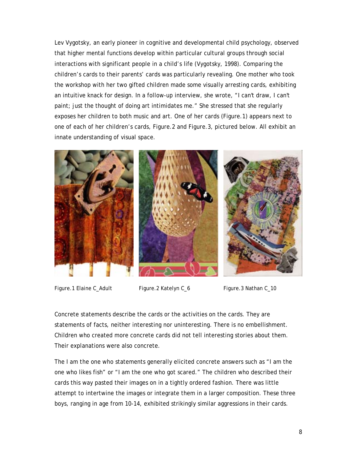Lev Vygotsky, an early pioneer in cognitive and developmental child psychology, observed that higher mental functions develop within particular cultural groups through social interactions with significant people in a child's life (Vygotsky, 1998). Comparing the children's cards to their parents' cards was particularly revealing. One mother who took the workshop with her two gifted children made some visually arresting cards, exhibiting an intuitive knack for design. In a follow-up interview, she wrote, "I can't draw, I can't paint; just the thought of doing art intimidates me." She stressed that she regularly exposes her children to both music and art. One of her cards (Figure.1) appears next to one of each of her children's cards, Figure.2 and Figure.3, pictured below. All exhibit an innate understanding of visual space.



Figure.1 Elaine C\_Adult Figure.2 Katelyn C\_6 Figure.3 Nathan C\_10

Concrete statements describe the cards or the activities on the cards. They are statements of facts, neither interesting nor uninteresting. There is no embellishment. Children who created more concrete cards did not tell interesting stories about them. Their explanations were also concrete.

The *I am the one who* statements generally elicited concrete answers such as "I am the one who likes fish" or "I am the one who got scared." The children who described their cards this way pasted their images on in a tightly ordered fashion. There was little attempt to intertwine the images or integrate them in a larger composition. These three boys, ranging in age from 10-14, exhibited strikingly similar aggressions in their cards.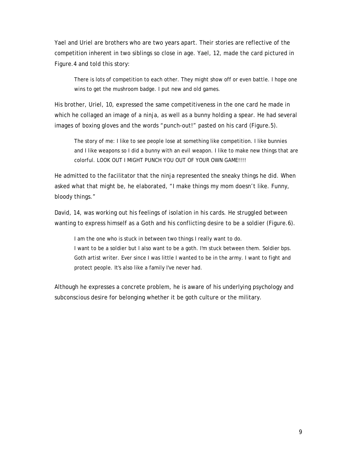Yael and Uriel are brothers who are two years apart. Their stories are reflective of the competition inherent in two siblings so close in age. Yael, 12, made the card pictured in Figure.4 and told this story:

There is lots of competition to each other. They might show off or even battle. I hope one wins to get the mushroom badge. I put new and old games.

His brother, Uriel, 10, expressed the same competitiveness in the one card he made in which he collaged an image of a ninja, as well as a bunny holding a spear. He had several images of boxing gloves and the words "punch-out!" pasted on his card (Figure.5).

The story of me: I like to see people lose at something like competition. I like bunnies and I like weapons so I did a bunny with an evil weapon. I like to make new things that are colorful. LOOK OUT I MIGHT PUNCH YOU OUT OF YOUR OWN GAME!!!!

He admitted to the facilitator that the ninja represented the sneaky things he did. When asked what that might be, he elaborated, "I make things my mom doesn't like. Funny, bloody things."

David, 14, was working out his feelings of isolation in his cards. He struggled between wanting to express himself as a Goth and his conflicting desire to be a soldier (Figure.6).

I am the one who is stuck in between two things I really want to do.

I want to be a soldier but I also want to be a goth. I'm stuck between them. Soldier bps. Goth artist writer. Ever since I was little I wanted to be in the army. I want to fight and protect people. It's also like a family I've never had.

Although he expresses a concrete problem, he is aware of his underlying psychology and subconscious desire for belonging whether it be goth culture or the military.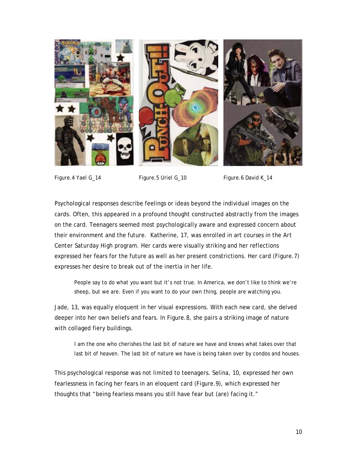

Figure.4 Yael G\_14 Figure.5 Uriel G\_10 Figure.6 David K\_14

Psychological responses describe feelings or ideas beyond the individual images on the cards. Often, this appeared in a profound thought constructed abstractly from the images on the card. Teenagers seemed most psychologically aware and expressed concern about their environment and the future. Katherine, 17, was enrolled in art courses in the *Art Center Saturday High* program. Her cards were visually striking and her reflections expressed her fears for the future as well as her present constrictions. Her card (Figure.7) expresses her desire to break out of the inertia in her life.

People say to do what you want but it's not true. In America, we don't like to think we're sheep, but we are. Even if you want to do your own thing, people are watching you.

Jade, 13, was equally eloquent in her visual expressions. With each new card, she delved deeper into her own beliefs and fears. In Figure.8, she pairs a striking image of nature with collaged fiery buildings.

I am the one who cherishes the last bit of nature we have and knows what takes over that last bit of heaven. The last bit of nature we have is being taken over by condos and houses.

This psychological response was not limited to teenagers. Selina, 10, expressed her own fearlessness in facing her fears in an eloquent card (Figure.9), which expressed her thoughts that "being fearless means you still have fear but (are) facing it."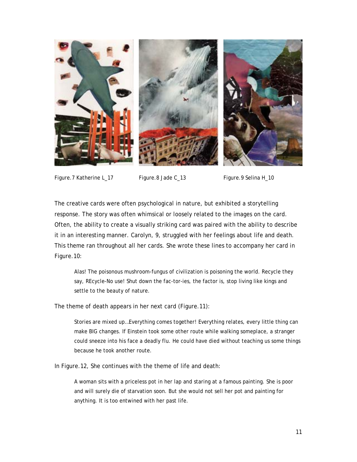

Figure.7 Katherine L 17 Figure.8 Jade C 13 Figure.9 Selina H 10

The creative cards were often psychological in nature, but exhibited a storytelling response. The story was often whimsical or loosely related to the images on the card. Often, the ability to create a visually striking card was paired with the ability to describe it in an interesting manner. Carolyn, 9, struggled with her feelings about life and death. This theme ran throughout all her cards. She wrote these lines to accompany her card in Figure.10:

Alas! The poisonous mushroom-fungus of civilization is poisoning the world. Recycle they say, REcycle-No use! Shut down the fac-tor-ies, the factor is, stop living like kings and settle to the beauty of nature.

The theme of death appears in her next card (Figure.11):

Stories are mixed up…Everything comes together! Everything relates, every little thing can make BIG changes. If Einstein took some other route while walking someplace, a stranger could sneeze into his face a deadly flu. He could have died without teaching us some things because he took another route.

In Figure.12, She continues with the theme of life and death:

A woman sits with a priceless pot in her lap and staring at a famous painting. She is poor and will surely die of starvation soon. But she would not sell her pot and painting for anything. It is too entwined with her past life.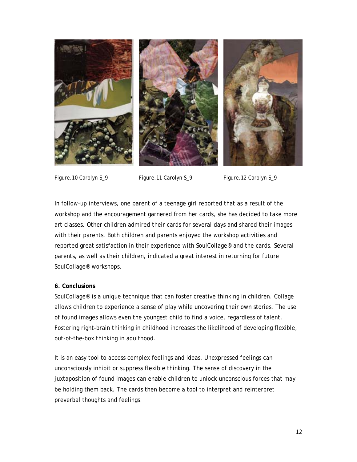

Figure.10 Carolyn S 9 Figure.11 Carolyn S 9 Figure.12 Carolyn S 9

In follow-up interviews, one parent of a teenage girl reported that as a result of the workshop and the encouragement garnered from her cards, she has decided to take more art classes. Other children admired their cards for several days and shared their images with their parents. Both children and parents enjoyed the workshop activities and reported great satisfaction in their experience with SoulCollage® and the cards. Several parents, as well as their children, indicated a great interest in returning for future SoulCollage® workshops.

## **6. Conclusions**

SoulCollage® is a unique technique that can foster creative thinking in children. Collage allows children to experience a sense of play while uncovering their own stories. The use of found images allows even the youngest child to find a voice, regardless of talent. Fostering right-brain thinking in childhood increases the likelihood of developing flexible, out-of-the-box thinking in adulthood.

It is an easy tool to access complex feelings and ideas. Unexpressed feelings can unconsciously inhibit or suppress flexible thinking. The sense of discovery in the juxtaposition of found images can enable children to unlock unconscious forces that may be holding them back. The cards then become a tool to interpret and reinterpret preverbal thoughts and feelings.